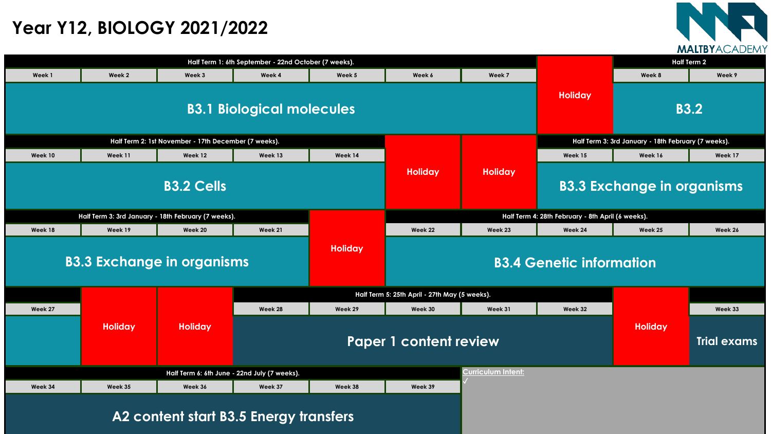| Half Term 1: 6th September - 22nd October (7 weeks).               |                |                                                      |                                               |                                                   |                |                                 |                                                     | <b>Half Term 2</b> |                    |  |
|--------------------------------------------------------------------|----------------|------------------------------------------------------|-----------------------------------------------|---------------------------------------------------|----------------|---------------------------------|-----------------------------------------------------|--------------------|--------------------|--|
| Week 1                                                             | Week 2         | Week 3                                               | Week 4                                        | Week 5                                            | Week 6         | Week 7                          |                                                     | Week 8             | Week 9             |  |
| <b>B3.1 Biological molecules</b>                                   |                |                                                      |                                               |                                                   |                |                                 |                                                     | <b>B3.2</b>        |                    |  |
|                                                                    |                | Half Term 2: 1st November - 17th December (7 weeks). |                                               |                                                   |                |                                 | Half Term 3: 3rd January - 18th February (7 weeks). |                    |                    |  |
| Week 10                                                            | Week 11        | Week 12                                              | Week 13                                       | Week 14                                           |                |                                 | Week 15                                             | Week 16            | Week 17            |  |
| <b>B3.2 Cells</b>                                                  |                |                                                      |                                               |                                                   | <b>Holiday</b> | <b>Holiday</b>                  | <b>B3.3 Exchange in organisms</b>                   |                    |                    |  |
|                                                                    |                | Half Term 3: 3rd January - 18th February (7 weeks).  |                                               | Half Term 4: 28th February - 8th April (6 weeks). |                |                                 |                                                     |                    |                    |  |
| Week 18                                                            | Week 19        | <b>Week 20</b>                                       | Week 21                                       |                                                   | Week 22        | Week 23                         | Week 24                                             | Week 25            | Week 26            |  |
| <b>B3.3 Exchange in organisms</b>                                  |                |                                                      |                                               | <b>Holiday</b>                                    |                | <b>B3.4 Genetic information</b> |                                                     |                    |                    |  |
|                                                                    |                |                                                      | Half Term 5: 25th April - 27th May (5 weeks). |                                                   |                |                                 |                                                     |                    |                    |  |
| Week 27                                                            |                |                                                      | Week 28                                       | Week 29                                           | Week 30        | Week 31                         | Week 32                                             |                    | Week 33            |  |
|                                                                    | <b>Holiday</b> | <b>Holiday</b>                                       | <b>Paper 1 content review</b>                 |                                                   |                |                                 |                                                     | <b>Holiday</b>     | <b>Trial exams</b> |  |
| Curriculum Intent:<br>Half Term 6: 6th June - 22nd July (7 weeks). |                |                                                      |                                               |                                                   |                |                                 |                                                     |                    |                    |  |
| Week 34                                                            | Week 35        | Week 36                                              | Week 37                                       | Week 38                                           | Week 39        |                                 |                                                     |                    |                    |  |
|                                                                    |                |                                                      |                                               |                                                   |                |                                 |                                                     |                    |                    |  |

## **A2 content start B3.5 Energy transfers**



## **Year Y12, BIOLOGY 2021/2022**